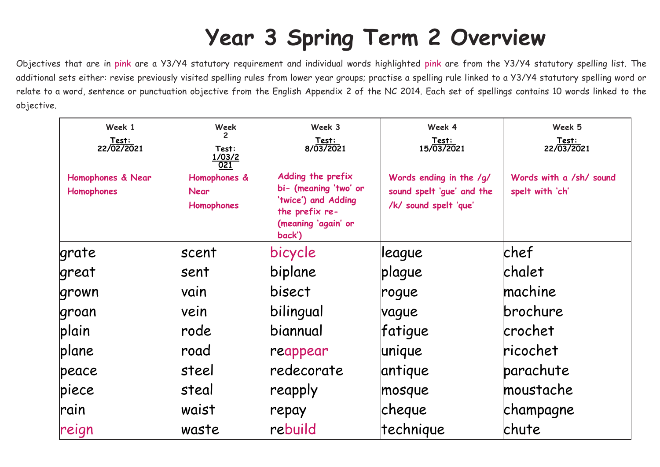## **Year 3 Spring Term 2 Overview**

Objectives that are in pink are a Y3/Y4 statutory requirement and individual words highlighted pink are from the Y3/Y4 statutory spelling list. The additional sets either: revise previously visited spelling rules from lower year groups; practise a spelling rule linked to a Y3/Y4 statutory spelling word or relate to a word, sentence or punctuation objective from the English Appendix 2 of the NC 2014. Each set of spellings contains 10 words linked to the objective.

| Week 1                          | Week                                             | Week 3                                                                                                               | Week 4                                                                        | Week 5                                     |
|---------------------------------|--------------------------------------------------|----------------------------------------------------------------------------------------------------------------------|-------------------------------------------------------------------------------|--------------------------------------------|
| <u>Test:<br/>22/02/2021</u>     | <u>Test:<br/>1/03/2</u><br><u>021</u>            | <u>Test:<br/>8/03/2021</u>                                                                                           | Test:<br>15/03/2021                                                           | <u>Test:<br/>22/03/2021</u>                |
| Homophones & Near<br>Homophones | Homophones &<br><b>Near</b><br><b>Homophones</b> | Adding the prefix<br>bi- (meaning 'two' or<br>'twice') and Adding<br>the prefix re-<br>(meaning 'again' or<br>back') | Words ending in the /g/<br>sound spelt 'gue' and the<br>/k/ sound spelt 'que' | Words with a /sh/ sound<br>spelt with 'ch' |
| lgrate                          | <b>scent</b>                                     | bicycle                                                                                                              | league                                                                        | chef                                       |
| great                           | lsent                                            | biplane                                                                                                              | plague                                                                        | <b>chalet</b>                              |
| grown                           | lvain                                            | bisect                                                                                                               | rogue                                                                         | machine                                    |
| groan                           | vein                                             | bilingual                                                                                                            | vague                                                                         | brochure                                   |
| plain                           | rode                                             | biannual                                                                                                             | fatigue                                                                       | <b>crochet</b>                             |
| plane                           | road                                             | reappear                                                                                                             | unique                                                                        | ricochet                                   |
| peace                           | steel                                            | Iredecorate                                                                                                          | antique                                                                       | parachute                                  |
| piece                           | steal                                            | reapply                                                                                                              | mosque                                                                        | moustache                                  |
| rain                            | lwaist                                           | repay                                                                                                                | cheque                                                                        | champagne                                  |
| reign                           | waste                                            | rebuild                                                                                                              | technique                                                                     | chute                                      |